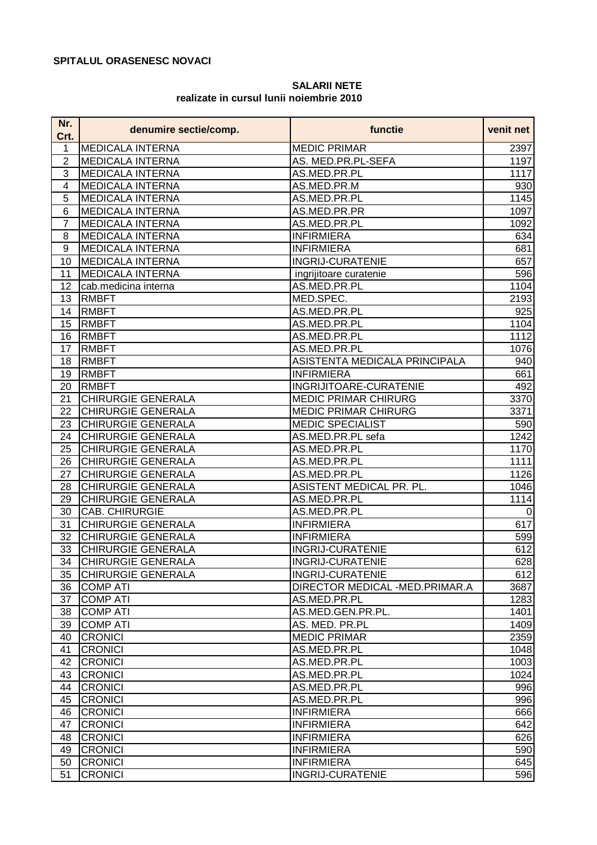## **SPITALUL ORASENESC NOVACI**

## **SALARII NETE realizate in cursul lunii noiembrie 2010**

| Nr.<br>Crt.    | denumire sectie/comp.     | functie                        | venit net          |
|----------------|---------------------------|--------------------------------|--------------------|
| 1              | <b>MEDICALA INTERNA</b>   | <b>MEDIC PRIMAR</b>            | 2397               |
| $\overline{2}$ | <b>MEDICALA INTERNA</b>   | AS. MED.PR.PL-SEFA             | 1197               |
| 3              | <b>MEDICALA INTERNA</b>   | AS.MED.PR.PL                   | 1117               |
| 4              | <b>MEDICALA INTERNA</b>   | AS.MED.PR.M                    | 930                |
| 5              | <b>MEDICALA INTERNA</b>   | AS.MED.PR.PL                   | $\overline{1}$ 145 |
| 6              | <b>MEDICALA INTERNA</b>   | AS.MED.PR.PR                   | 1097               |
| $\overline{7}$ | <b>MEDICALA INTERNA</b>   | AS.MED.PR.PL                   | 1092               |
| 8              | <b>MEDICALA INTERNA</b>   | <b>INFIRMIERA</b>              | 634                |
| 9              | <b>MEDICALA INTERNA</b>   | <b>INFIRMIERA</b>              | 681                |
| 10             | <b>MEDICALA INTERNA</b>   | <b>INGRIJ-CURATENIE</b>        | 657                |
| 11             | <b>MEDICALA INTERNA</b>   | ingrijitoare curatenie         | 596                |
| 12             | cab.medicina interna      | AS.MED.PR.PL                   | 1104               |
| 13             | <b>RMBFT</b>              | MED.SPEC.                      | 2193               |
| 14             | <b>RMBFT</b>              | AS.MED.PR.PL                   | 925                |
| 15             | <b>RMBFT</b>              | AS.MED.PR.PL                   | 1104               |
| 16             | <b>RMBFT</b>              | AS.MED.PR.PL                   | 1112               |
| 17             | <b>RMBFT</b>              | AS.MED.PR.PL                   | 1076               |
| 18             | <b>RMBFT</b>              | ASISTENTA MEDICALA PRINCIPALA  | 940                |
| 19             | <b>RMBFT</b>              | <b>INFIRMIERA</b>              | 661                |
| 20             | <b>RMBFT</b>              | INGRIJITOARE-CURATENIE         | 492                |
| 21             | <b>CHIRURGIE GENERALA</b> | <b>MEDIC PRIMAR CHIRURG</b>    | 3370               |
| 22             | <b>CHIRURGIE GENERALA</b> | <b>MEDIC PRIMAR CHIRURG</b>    | 3371               |
| 23             | <b>CHIRURGIE GENERALA</b> | <b>MEDIC SPECIALIST</b>        | 590                |
| 24             | <b>CHIRURGIE GENERALA</b> | AS.MED.PR.PL sefa              | 1242               |
| 25             | <b>CHIRURGIE GENERALA</b> | AS.MED.PR.PL                   | 1170               |
| 26             | <b>CHIRURGIE GENERALA</b> | AS.MED.PR.PL                   | $\overline{1}111$  |
| 27             | <b>CHIRURGIE GENERALA</b> | AS.MED.PR.PL                   | $\overline{1126}$  |
| 28             | CHIRURGIE GENERALA        | ASISTENT MEDICAL PR. PL.       | 1046               |
| 29             | <b>CHIRURGIE GENERALA</b> | AS.MED.PR.PL                   | 1114               |
| 30             | <b>CAB. CHIRURGIE</b>     | AS.MED.PR.PL                   | $\mathbf 0$        |
| 31             | <b>CHIRURGIE GENERALA</b> | <b>INFIRMIERA</b>              | 617                |
| 32             | <b>CHIRURGIE GENERALA</b> | <b>INFIRMIERA</b>              | 599                |
| 33             | <b>CHIRURGIE GENERALA</b> | <b>INGRIJ-CURATENIE</b>        | 612                |
| 34             | <b>CHIRURGIE GENERALA</b> | <b>INGRIJ-CURATENIE</b>        | 628                |
| 35             | <b>CHIRURGIE GENERALA</b> | <b>INGRIJ-CURATENIE</b>        | 612                |
| 36             | <b>COMP ATI</b>           | DIRECTOR MEDICAL -MED.PRIMAR.A | 3687               |
| 37             | <b>COMP ATI</b>           | AS.MED.PR.PL                   | 1283               |
| 38             | <b>COMP ATI</b>           | AS.MED.GEN.PR.PL.              | 1401               |
| 39             | <b>COMP ATI</b>           | AS. MED. PR.PL                 | 1409               |
| 40             | <b>CRONICI</b>            | <b>MEDIC PRIMAR</b>            | 2359               |
| 41             | <b>CRONICI</b>            | AS.MED.PR.PL                   | 1048               |
| 42             | <b>CRONICI</b>            | AS.MED.PR.PL                   | 1003               |
| 43             | <b>CRONICI</b>            | AS.MED.PR.PL                   | 1024               |
| 44             | <b>CRONICI</b>            | AS.MED.PR.PL                   | 996                |
| 45             | <b>CRONICI</b>            | AS.MED.PR.PL                   | 996                |
| 46             | <b>CRONICI</b>            | <b>INFIRMIERA</b>              | 666                |
| 47             | <b>CRONICI</b>            | <b>INFIRMIERA</b>              | 642                |
| 48             | <b>CRONICI</b>            | <b>INFIRMIERA</b>              | 626                |
| 49             | <b>CRONICI</b>            | <b>INFIRMIERA</b>              | 590                |
| 50             | <b>CRONICI</b>            | <b>INFIRMIERA</b>              | 645                |
| 51             | <b>CRONICI</b>            | <b>INGRIJ-CURATENIE</b>        | 596                |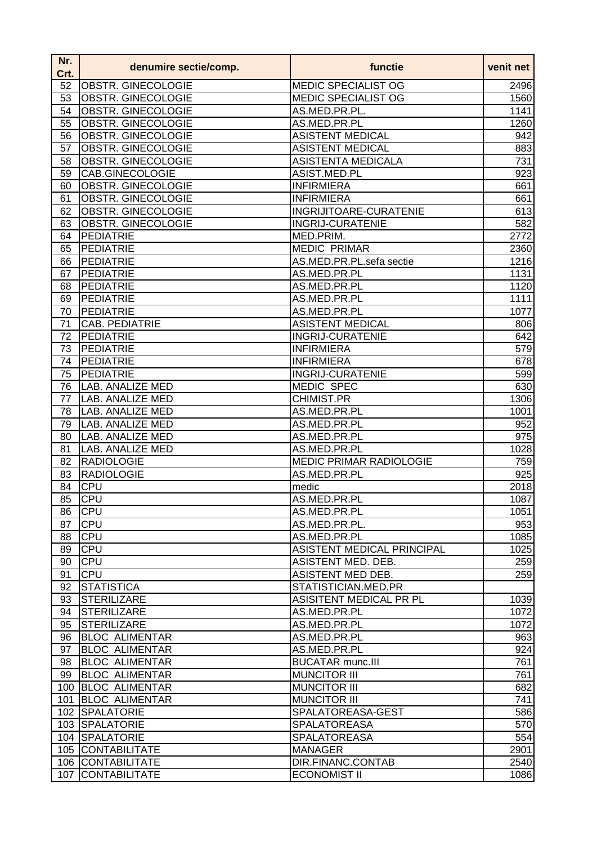| Nr.<br>Crt. | denumire sectie/comp.     | functie                           | venit net |
|-------------|---------------------------|-----------------------------------|-----------|
| 52          | <b>OBSTR. GINECOLOGIE</b> | <b>MEDIC SPECIALIST OG</b>        | 2496      |
| 53          | <b>OBSTR. GINECOLOGIE</b> | <b>MEDIC SPECIALIST OG</b>        | 1560      |
| 54          | <b>OBSTR. GINECOLOGIE</b> | AS.MED.PR.PL.                     | 1141      |
| 55          | <b>OBSTR. GINECOLOGIE</b> | AS.MED.PR.PL                      | 1260      |
| 56          | <b>OBSTR. GINECOLOGIE</b> | <b>ASISTENT MEDICAL</b>           | 942       |
| 57          | OBSTR. GINECOLOGIE        | <b>ASISTENT MEDICAL</b>           | 883       |
| 58          | OBSTR. GINECOLOGIE        | <b>ASISTENTA MEDICALA</b>         | 731       |
| 59          | CAB.GINECOLOGIE           | ASIST.MED.PL                      | 923       |
| 60          | OBSTR. GINECOLOGIE        | <b>INFIRMIERA</b>                 | 661       |
| 61          | OBSTR. GINECOLOGIE        | <b>INFIRMIERA</b>                 | 661       |
| 62          | OBSTR. GINECOLOGIE        | INGRIJITOARE-CURATENIE            | 613       |
| 63          | OBSTR. GINECOLOGIE        | <b>INGRIJ-CURATENIE</b>           | 582       |
| 64          | <b>PEDIATRIE</b>          | MED.PRIM.                         | 2772      |
| 65          | <b>PEDIATRIE</b>          | <b>MEDIC PRIMAR</b>               | 2360      |
| 66          | PEDIATRIE                 | AS.MED.PR.PL.sefa sectie          | 1216      |
| 67          | PEDIATRIE                 | AS.MED.PR.PL                      | 1131      |
| 68          | <b>PEDIATRIE</b>          | AS.MED.PR.PL                      | 1120      |
| 69          | PEDIATRIE                 | AS.MED.PR.PL                      | 1111      |
| 70          | PEDIATRIE                 | AS.MED.PR.PL                      | 1077      |
| 71          | <b>CAB. PEDIATRIE</b>     | <b>ASISTENT MEDICAL</b>           | 806       |
| 72          | PEDIATRIE                 | <b>INGRIJ-CURATENIE</b>           | 642       |
| 73          | PEDIATRIE                 | <b>INFIRMIERA</b>                 | 579       |
| 74          | PEDIATRIE                 | <b>INFIRMIERA</b>                 | 678       |
| 75          | PEDIATRIE                 | <b>INGRIJ-CURATENIE</b>           | 599       |
| 76          | LAB. ANALIZE MED          | <b>MEDIC SPEC</b>                 | 630       |
| 77          | <b>LAB. ANALIZE MED</b>   | <b>CHIMIST.PR</b>                 | 1306      |
| 78          | <b>LAB. ANALIZE MED</b>   | AS.MED.PR.PL                      | 1001      |
| 79          | <b>LAB. ANALIZE MED</b>   | AS.MED.PR.PL                      | 952       |
| 80          | <b>LAB. ANALIZE MED</b>   | AS.MED.PR.PL                      | 975       |
| 81          | <b>LAB. ANALIZE MED</b>   | AS.MED.PR.PL                      | 1028      |
| 82          | <b>RADIOLOGIE</b>         | <b>MEDIC PRIMAR RADIOLOGIE</b>    | 759       |
| 83          | <b>RADIOLOGIE</b>         | AS.MED.PR.PL                      | 925       |
| 84          | <b>CPU</b>                | medic                             | 2018      |
| 85          | CPU                       | AS.MED.PR.PL                      | 1087      |
| 86          | <b>CPU</b>                | AS.MED.PR.PL                      | 1051      |
| 87          | <b>CPU</b>                | AS.MED.PR.PL.                     | 953       |
| 88          | <b>CPU</b>                | AS.MED.PR.PL                      | 1085      |
| 89          | <b>CPU</b>                | <b>ASISTENT MEDICAL PRINCIPAL</b> | 1025      |
| 90          | <b>CPU</b>                | ASISTENT MED. DEB.                | 259       |
| 91          | <b>CPU</b>                | ASISTENT MED DEB.                 | 259       |
| 92          | STATISTICA                | STATISTICIAN.MED.PR               |           |
| 93          | <b>STERILIZARE</b>        | ASISITENT MEDICAL PR PL           | 1039      |
| 94          | <b>STERILIZARE</b>        | AS.MED.PR.PL                      | 1072      |
| 95          | <b>STERILIZARE</b>        | AS.MED.PR.PL                      | 1072      |
| 96          | <b>BLOC ALIMENTAR</b>     | AS.MED.PR.PL                      | 963       |
| 97          | <b>BLOC ALIMENTAR</b>     | AS.MED.PR.PL                      | 924       |
| 98          | <b>BLOC ALIMENTAR</b>     | <b>BUCATAR munc.III</b>           | 761       |
| 99          | <b>BLOC ALIMENTAR</b>     | <b>MUNCITOR III</b>               | 761       |
|             | 100 BLOC ALIMENTAR        | <b>MUNCITOR III</b>               | 682       |
| 101         | <b>BLOC ALIMENTAR</b>     | <b>MUNCITOR III</b>               | 741       |
|             | 102 SPALATORIE            | SPALATOREASA-GEST                 | 586       |
|             | 103 SPALATORIE            | <b>SPALATOREASA</b>               | 570       |
|             | 104 SPALATORIE            | <b>SPALATOREASA</b>               | 554       |
|             | 105 CONTABILITATE         | <b>MANAGER</b>                    | 2901      |
|             | 106 CONTABILITATE         | DIR.FINANC.CONTAB                 | 2540      |
| 107         | <b>CONTABILITATE</b>      | <b>ECONOMIST II</b>               | 1086      |